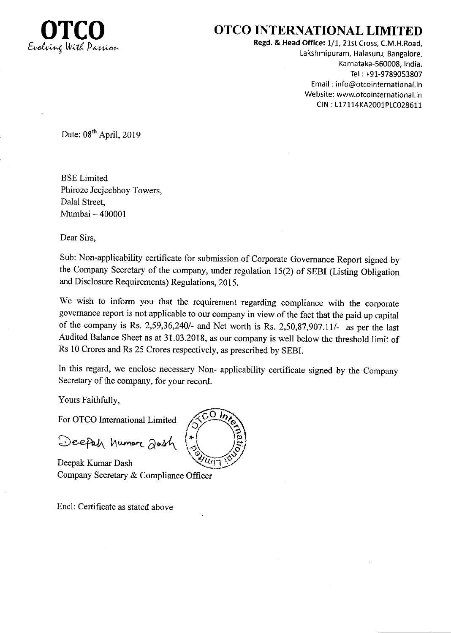

## **OTCO INTERNATIONAL LIMITED**

Regd. & Head Office: 1/1, 21st Cross, C.M.H.Road, Lakshmipuram, Halasuru, Bangalore, Karnataka-560008, India. Tel: +91-9789053807 Email: info@otcointernational.in Website: www.otcointernational.in CIN: L17114KA2001PLC028611

Date: 08<sup>th</sup> April, 2019

**BSE** Limited Phiroze Jeejeebhoy Towers, Dalal Street. Mumbai - 400001

Dear Sirs,

Sub: Non-applicability certificate for submission of Corporate Governance Report signed by the Company Secretary of the company, under regulation 15(2) of SEBI (Listing Obligation and Disclosure Requirements) Regulations, 2015.

We wish to inform you that the requirement regarding compliance with the corporate governance report is not applicable to our company in view of the fact that the paid up capital of the company is Rs. 2,59,36,240/- and Net worth is Rs. 2,50,87,907.11/- as per the last Audited Balance Sheet as at 31.03.2018, as our company is well below the threshold limit of Rs 10 Crores and Rs 25 Crores respectively, as prescribed by SEBI.

In this regard, we enclose necessary Non- applicability certificate signed by the Company Secretary of the company, for your record.

Yours Faithfully,

For OTCO International Limited

Deepah humor 20sh

Deepak Kumar Dash Company Secretary & Compliance Officer

Encl: Certificate as stated above